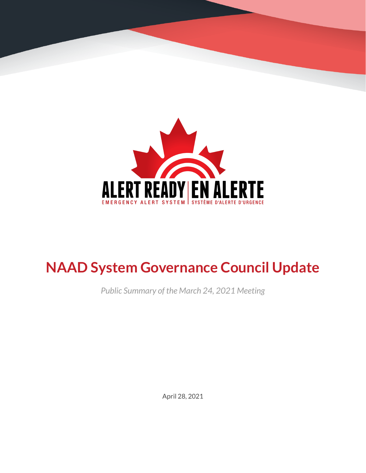

# **NAAD System Governance Council Update**

*Public Summary of the March 24, 2021 Meeting*

April 28, 2021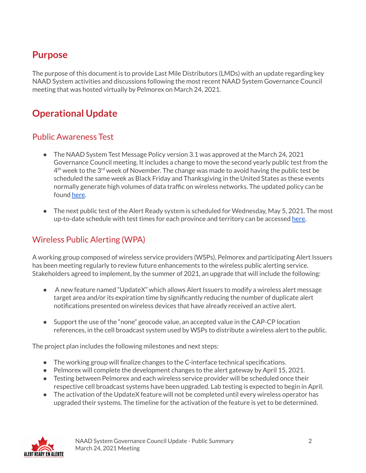### **Purpose**

The purpose of this document is to provide Last Mile Distributors (LMDs) with an update regarding key NAAD System activities and discussions following the most recent NAAD System Governance Council meeting that was hosted virtually by Pelmorex on March 24, 2021.

## **Operational Update**

#### Public Awareness Test

- The NAAD System Test Message Policy version 3.1 was approved at the March 24, 2021 Governance Council meeting. It includes a change to move the second yearly public test from the  $4^{\text{th}}$  week to the 3<sup>rd</sup> week of November. The change was made to avoid having the public test be scheduled the same week as Black Friday and Thanksgiving in the United States as these events normally generate high volumes of data traffic on wireless networks. The updated policy can be found [here](https://alerts.pelmorex.com/wp-content/uploads/2021/04/NAAD-System-Test-Message-Policy-EN.pdf).
- The next public test of the Alert Ready system is scheduled for Wednesday, May 5, 2021. The most up-to-date schedule with test times for each province and territory can be accessed [here.](https://alerts.pelmorex.com/#test-schedule)

#### Wireless Public Alerting (WPA)

A working group composed of wireless service providers (WSPs), Pelmorex and participating Alert Issuers has been meeting regularly to review future enhancements to the wireless public alerting service. Stakeholders agreed to implement, by the summer of 2021, an upgrade that will include the following:

- A new feature named "UpdateX" which allows Alert Issuers to modify a wireless alert message target area and/or its expiration time by significantly reducing the number of duplicate alert notifications presented on wireless devices that have already received an active alert.
- Support the use of the "none" geocode value, an accepted value in the CAP-CP location references, in the cell broadcast system used by WSPs to distribute a wireless alert to the public.

The project plan includes the following milestones and next steps:

- The working group will finalize changes to the C-interface technical specifications.
- Pelmorex will complete the development changes to the alert gateway by April 15, 2021.
- Testing between Pelmorex and each wireless service provider will be scheduled once their respective cell broadcast systems have been upgraded. Lab testing is expected to begin in April.
- The activation of the UpdateX feature will not be completed until every wireless operator has upgraded their systems. The timeline for the activation of the feature is yet to be determined.